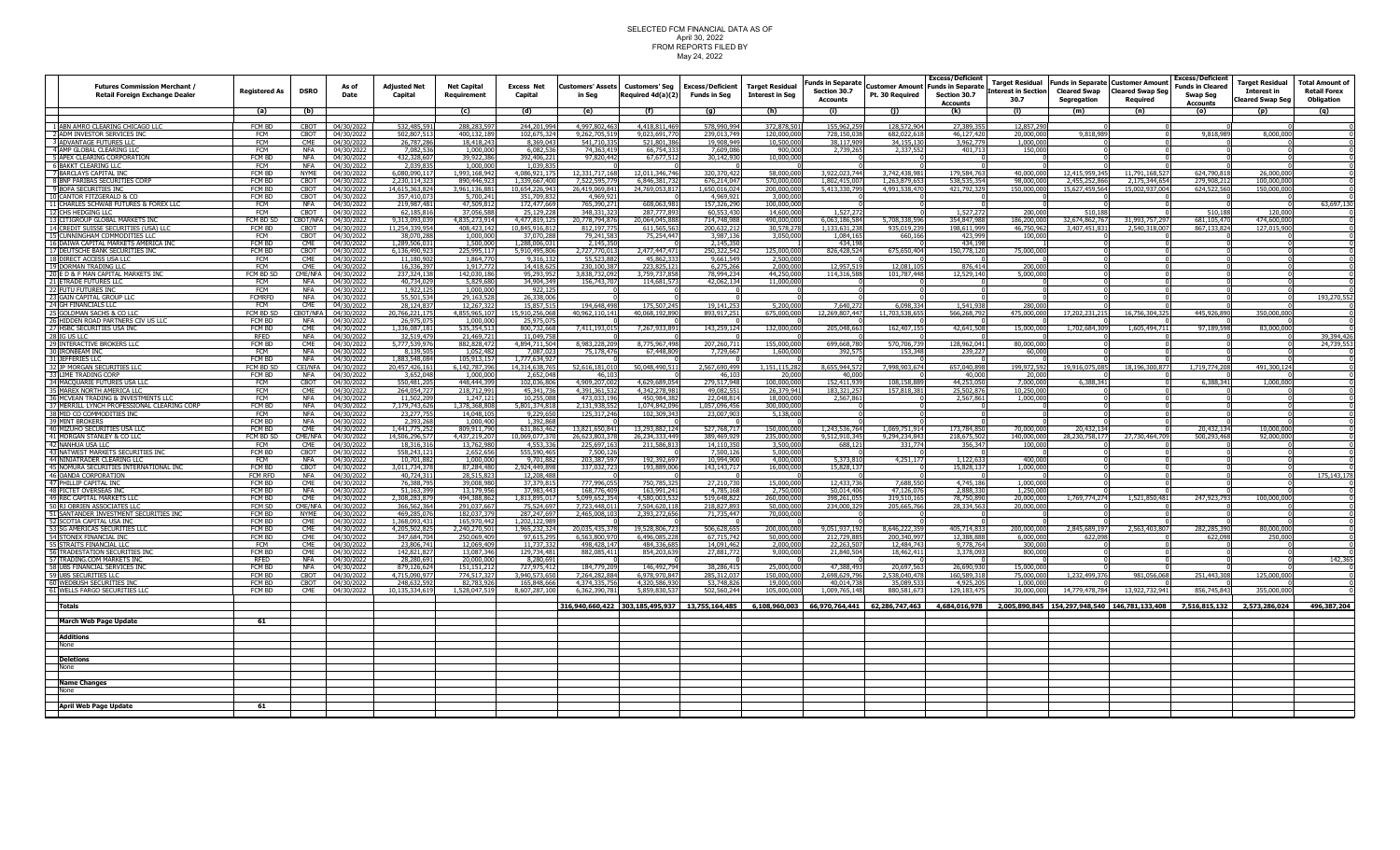## SELECTED FCM FINANCIAL DATA AS OF<br>April 30, 2022<br>FROM REPORTS FILED BY<br>May 24, 2022

|                                                                               |                         |                          |                                      |                                |                                   |                               |                                |                                            |                                         |                                                                                                                                                                                    | <b>Funds in Separate</b>       |                                           | <b>Excess/Deficient</b>                  |                         |                                | Target Residual Funds in Separate Customer Amount | <b>Excess/Deficient</b>                    | <b>Target Residual</b>   | <b>Total Amount of</b> |
|-------------------------------------------------------------------------------|-------------------------|--------------------------|--------------------------------------|--------------------------------|-----------------------------------|-------------------------------|--------------------------------|--------------------------------------------|-----------------------------------------|------------------------------------------------------------------------------------------------------------------------------------------------------------------------------------|--------------------------------|-------------------------------------------|------------------------------------------|-------------------------|--------------------------------|---------------------------------------------------|--------------------------------------------|--------------------------|------------------------|
| <b>Futures Commission Merchant /</b><br><b>Retail Foreign Exchange Dealer</b> | <b>Registered As</b>    | <b>DSRO</b>              | As of<br>Date                        | <b>Adjusted Net</b><br>Capital | <b>Net Capital</b><br>Requirement | <b>Excess Net</b><br>Capital  | Customers' Assets<br>in Seg    | <b>Customers' Seg</b><br>Required 4d(a)(2) | <b>Excess/Deficient</b><br>Funds in Seg | <b>Target Residual</b><br><b>Interest in Seg</b>                                                                                                                                   | Section 30.7                   | <b>Customer Amount</b><br>Pt. 30 Required | <b>Funds in Separate</b><br>Section 30.7 | Interest in Section     | <b>Cleared Swap</b>            | <b>Cleared Swap Seg</b>                           | <b>Funds in Cleared</b><br><b>Swap Seg</b> | <b>Interest in</b>       | <b>Retail Forex</b>    |
|                                                                               |                         |                          |                                      |                                |                                   |                               |                                |                                            |                                         |                                                                                                                                                                                    | <b>Accounts</b>                |                                           | Accounts                                 | 30.7                    | Segregation                    | Required                                          | <b>Accounts</b>                            | <b>Cleared Swap Seg</b>  | Obligation             |
|                                                                               | (a)                     | (b)                      |                                      |                                | (c)                               | (d)                           | (e)                            | (f)                                        | (g)                                     | (h)                                                                                                                                                                                | (i)                            | (j)                                       | (k)                                      | (1)                     | (m)                            | (n)                                               | (o)                                        | (p)                      | (q)                    |
| ABN AMRO CLEARING CHICAGO LLC                                                 | FCM BD                  | <b>CBOT</b>              | 04/30/2022                           | 32,485,59                      | 288,283,59                        | 244,201,994                   | 4.997.802.463                  | 4,418,811,46                               | 578,990,99                              | 372,878,50                                                                                                                                                                         | 155,962.2                      | 28.572.904                                | 27,389.3                                 | 12,857,29               |                                |                                                   |                                            |                          |                        |
| ADM INVESTOR SERVICES INC                                                     | FCM                     | СВОТ                     | 04/30/2022                           | 602,807,51                     | 400,132,18                        | 102,675,32                    | 9,262,705,51                   | 9,023,691,7                                | 239,013,749                             | 120,000,00                                                                                                                                                                         | 728,150,03                     | 682,022,61                                | 46,127,42                                | 20,000,00               | 9.818.98                       |                                                   | 9,818,98                                   | 8,000,00                 |                        |
| <b>ADVANTAGE FUTURES LLC</b>                                                  | <b>FCM</b>              | <b>CMF</b>               | 04/30/2022                           | 26,787,28                      | 18,418,24                         | 8,369,04                      | 541,710,335                    | 521,801,3                                  | 19,908,94                               | 10,500,00                                                                                                                                                                          | 38,117,909                     | 34,155,13                                 | 3,962,77                                 | 1.000.00                |                                |                                                   |                                            |                          |                        |
| AMP GLOBAL CLEARING LLO<br>APEX CLEARING CORPORATION                          | <b>FCM</b><br>FCM BD    | NFA<br><b>NFA</b>        | 04/30/2022<br>04/30/2022             | 7,082,5<br>432,328,60          | 1,000,00<br>39,922,386            | 6,082,53<br>392,406,22        | 74,363,419<br>97,820,442       | 66,754,3<br>67,677,5                       | 7,609,08<br>30,142,93                   | 900,00<br>10,000,00                                                                                                                                                                | 2,739,26                       | 2,337,55                                  | 401,71                                   | 150,00                  |                                |                                                   |                                            |                          |                        |
| <b>BAKKT CLEARING LLC</b>                                                     | <b>FCM</b>              | <b>NFA</b>               | 04/30/2022                           | 2,039,83                       | 1,000,00                          | 1,039,83                      |                                |                                            |                                         |                                                                                                                                                                                    |                                |                                           |                                          |                         |                                |                                                   |                                            |                          |                        |
| <b>BARCLAYS CAPITAL INC</b>                                                   | FCM BD                  | <b>NYMF</b>              | 04/30/2022                           | 6,080,090,11                   | 1,993,168,942                     | 4,086,921,17                  | 12,331,717,168                 | 12,011,346,746                             | 320,370,42                              | 58,000,00                                                                                                                                                                          | 3,922,023,744                  | 3,742,438,981                             | 179,584,763                              | 40,000,000              | 12,415,959,345                 | 11,791,168,52                                     | 624,790,81                                 | 26,000,00                |                        |
| BNP PARIBAS SECURITIES CORP<br>BOFA SECURITIES INC                            | FCM BD<br>FCM BD        | <b>CROT</b><br>CBOT      | 04/30/2022<br>04/30/2022             | 2.230.114.32<br>14,615,363,82  | 890.446.92<br>,961,136,88         | 1.339.667.40<br>0,654,226,94  | 7.522.595.77<br>26,419,069,841 | 68463817<br>24,769,053,8                   | 676,214,04<br>,650,016,0                | 570,000,00<br>200,000,0                                                                                                                                                            | 1.802.415.00<br>5,413,330,79   | 1,263,879,65<br>4,991,538,47              | 538,535,35<br>421,792,3                  | 98,000,00<br>150,000,00 | 2,455,252,866<br>15,627,459,56 | 2,175,344,65<br>15,002,937,0                      | 279,908.2<br>624,522,5                     | 100,000,0<br>150,000,0   |                        |
| CANTOR FITZGERALD & CO                                                        | FCM BD                  |                          | CBOT 04/30/2022                      | 357,410.07                     | 5,700,24                          | 351,709,83                    | 4,969,92                       |                                            | 4 969 9                                 | 3.000.00                                                                                                                                                                           |                                |                                           |                                          |                         |                                |                                                   |                                            |                          |                        |
| CHARLES SCHWAB FUTURES & FOREX LLO                                            | <b>FCM</b>              | NFA                      | 04/30/2022                           | 219,987,48                     | 47,509.81                         | 172,477,66                    | 765.390.27                     | 608,063.9                                  | 157,326,290                             | 100,000,00                                                                                                                                                                         |                                |                                           |                                          |                         |                                |                                                   |                                            |                          | 63,697.13              |
| CHS HEDGING LLC                                                               | <b>FCM</b>              | <b>CBOT</b>              | 04/30/2022                           | 62,185,81                      | 37,056,588                        | 25,129,22                     | 348, 331, 323                  | 287,777,8                                  | 60,553,43                               | 14,600,00                                                                                                                                                                          | 1,527,2                        |                                           | 1,527,27                                 | 200,00                  |                                |                                                   | 510,18                                     | 120,00                   |                        |
| CITIGROUP GLOBAL MARKETS INC<br>CREDIT SUISSE SECURITIES (USA) LLO            | FCM BD SD<br>FCM BD     | CBOT                     | CBOT/NFA 04/30/2022<br>04/30/2022    | 9,313,093,03                   | 4,835,273,914<br>408,423,142      | 4,477,819,12<br>10,845,916,81 | 0,778,794,876<br>812, 197, 77  | 20,064,045,8<br>611,565,56                 | 714,748,988<br>200,632,21               | 490,000,00                                                                                                                                                                         | 6,063,186,584<br>1,133,631,238 | 5,708,338,596                             | 354,847,98<br>198,611,99                 | 186,200,00<br>46,750,96 | 32,674,862,76<br>3,407,451,83  | 31,993,757,29<br>2.540.318.0                      | 681,105,47<br>867.133.8                    | 474,600,00<br>127,015,90 |                        |
| CUNNINGHAM COMMODITIES LLC                                                    | <b>FCM</b>              | <b>CBOT</b>              | 04/30/2022                           | 11,254,339,95<br>38.070.2      | 1,000,00                          | 37.070.28                     | 79,241,583                     | 75,254,44                                  | 3,987,13                                | 30,578,27<br>3.050.0                                                                                                                                                               | 1,084,165                      | 935,019,23<br>660,16                      | 423.99                                   | 100,00                  |                                |                                                   |                                            |                          |                        |
| DAIWA CAPITAL MARKETS AMERICA IN                                              | <b>FCM RD</b>           | <b>CME</b>               | 04/30/2022                           | .289.506.0                     | 1.500.00                          | 1 288 006 0                   | 2.145.350                      |                                            | 2.145.35                                |                                                                                                                                                                                    | 434 198                        |                                           | 434.198                                  |                         |                                |                                                   |                                            |                          |                        |
| DEUTSCHE BANK SECURITIES INC                                                  | FCM BD                  | CBOT                     | 04/30/2022                           | 6,136,490,92                   | 225,995,117                       | 5,910,495,80                  | 2,727,770,01                   | 2,477,447,4                                | 250,322,542                             | 125,000,00                                                                                                                                                                         | 826,428,524                    | 675,650,404                               | 150,778,12                               | 75,000,00               |                                |                                                   |                                            |                          |                        |
| DIRECT ACCESS USA LLC<br>DORMAN TRADING LLO                                   | FCM<br><b>FCM</b>       | <b>CME</b><br><b>CMF</b> | 04/30/2022<br>04/30/2022             | 11,180,90<br>16,336,39         | 1,864,77<br>1,917,77              | 9,316,13<br>14,418.62         | 55,523,882<br>230,100,387      | 45,862,33<br>223,825,12                    | 9,661,549<br>6,275,26                   | 2,500,00<br>2,000,00                                                                                                                                                               | 12.957.519                     | 12,081,10                                 | 876,414                                  | 200,00                  |                                |                                                   |                                            |                          |                        |
| E D & F MAN CAPITAL MARKETS INC                                               | FCM BD SD               |                          | CME/NFA 04/30/2022                   | 237,324,13                     | 142,030,186                       | 95,293,95                     | 3,838,732,092                  | 3,759,737,85                               | 78,994,23                               | 44,250,00                                                                                                                                                                          | 114,316,588                    | 101,787,448                               | 12,529,140                               | 5.000.00                |                                |                                                   |                                            |                          |                        |
| <b>ETRADE FUTURES LLC</b>                                                     | <b>FCM</b>              | <b>NFA</b>               | 04/30/2022                           | 40,734.0                       | 5.829.68                          | 34.904.34                     | 156,743,70                     | 114,681,5                                  | 42,062,134                              | 11,000,00                                                                                                                                                                          |                                |                                           |                                          |                         |                                |                                                   |                                            |                          |                        |
| <b>FUTU FUTURES INC</b><br><b>GAIN CAPITAL GROUP LLC</b>                      | <b>FCM</b><br>FCMRFD    | <b>NFA</b><br><b>NFA</b> | 04/30/2022<br>04/30/2022             | 1,922,12<br>55,501,53          | 1,000,000<br>29,163,52            | 922,12<br>26,338,00           |                                |                                            |                                         |                                                                                                                                                                                    |                                |                                           |                                          |                         |                                |                                                   |                                            |                          | 193,270,55             |
| <b>I GH FINANCIALS LLC</b>                                                    | <b>FCM</b>              | <b>CME</b>               | 04/30/2022                           | 28,124,83                      | 12,267,32                         | 15,857,51                     | 194,648,498                    | 175,507,24                                 | 19,141,25                               | 5,200,00                                                                                                                                                                           | 7,640,27                       | 6,098,334                                 | 1,541,938                                | 280,00                  |                                |                                                   |                                            |                          |                        |
| GOLDMAN SACHS & CO LLC                                                        | FCM BD SD               | CBOT/NFA                 | 04/30/2022                           | 20,766,221,1                   | 1,855,965,1                       | 15,910,256,06                 | 40,962,110,141                 | 40,068,192,89                              | 893,917,25                              | 675,000,00                                                                                                                                                                         | 12,269,807,447                 | 11,703,538,65                             | 566,268,79                               | 475,000,00              | 17,202,231,21                  | 16,756,304,32                                     | 445,926,89                                 | 350,000,00               |                        |
| HIDDEN ROAD PARTNERS CIV US L                                                 | FCM BD                  | <b>NFA</b>               | 04/30/2022                           | 26,975.0                       | 1.000.00                          | 25,975,07                     |                                |                                            |                                         |                                                                                                                                                                                    |                                |                                           |                                          |                         |                                |                                                   |                                            |                          |                        |
| HSBC SECURITIES USA INC<br>IG US LLC                                          | FCM BD<br>RFED          | CME<br><b>NFA</b>        | 04/30/2022<br>04/30/2022             | 1.336.087.18<br>32,519,479     | 535,354,51<br>21,469,721          | 800.732.66<br>11,049,75       | 7,411,193,015                  | 7.267.933.89                               | 143,259,12                              | 132,000,00                                                                                                                                                                         | 205,048,663                    | 162,407,15                                | 42,641,508                               | 15,000,000              | 1,702,684,30                   | 1,605,494.7                                       | 97.189.5                                   | 83,000,00                | 39,394,426             |
| <b>INTERACTIVE BROKERS LLC</b>                                                | FCM BD                  | C.ME                     | 04/30/2022                           | 5,777,539,9                    | 882.828.47                        | 4,894,711,50                  | 8.983.228.209                  | 8,775,967,49                               | 207,260,71                              | 155,000,00                                                                                                                                                                         | 699,668,780                    | 570,706,73                                | 128,962,041                              | 80,000,00               |                                |                                                   |                                            |                          | 24,739,55              |
| <b>IRONBEAM INC</b>                                                           | <b>FCM</b>              | NFA                      | 04/30/2022                           | 8,139,50                       | 1,052,48                          | 7,087,0                       | 75,178,476                     | 67,448,8                                   | 7,729,66                                | 1,600,00                                                                                                                                                                           | 392,57                         | 153,34                                    | 239,22                                   | 60,00                   |                                |                                                   |                                            |                          |                        |
| <b>JEFFERIES LLC</b>                                                          | FCM BD                  | <b>NFA</b>               | 04/30/2022                           | 1,883,548,084                  | 105,913,157                       | 1,777,634,92                  |                                |                                            |                                         |                                                                                                                                                                                    |                                |                                           |                                          |                         |                                |                                                   |                                            |                          |                        |
| <b>JP MORGAN SECURITIES LL</b><br>3 LIME TRADING CORP                         | FCM BD SD<br>FCM BD     | CEI/NFA<br><b>NFA</b>    | 04/30/2022<br>04/30/2022             | 20,457,426,16<br>3,652,04      | 6,142,787,396<br>1,000,000        | 14,314,638,76<br>2,652,04     | 52.616.181.010<br>46,10        | 50,048,490.5                               | 2.567.690.499<br>46,10                  | 1,151,115,28<br>20,00                                                                                                                                                              | 8.655.944.572<br>40,000        | 7,998,903,674                             | 657,040,898<br>40,000                    | 199,972,592<br>20,000   | 19,916,075,085                 | 18,196,300.87                                     | 1,719,774,2                                | 491,300.12               |                        |
| 4 MACQUARIE FUTURES USA LL                                                    | FCM                     | CBOT                     | 04/30/2022                           | 550,481,2                      | 448.444.39                        | 102.036.80                    | 4,909,207,00                   | 4,629,689.05                               | 279.517.948                             | 100,000,00                                                                                                                                                                         | 152,411,939                    | 08.158.88                                 | 44,253,05                                | 7,000,00                | 6,388,34                       |                                                   | 6,388,34                                   | 1,000,00                 |                        |
| MAREX NORTH AMERICA LLC                                                       | <b>FCM</b>              | CME                      | 04/30/2022                           | 264,054,7                      | 218,712,99                        | 45,341,73                     | 4,391,361,532                  | 4,342,278,9                                | 49,082,55                               | 26.379.94                                                                                                                                                                          | 183,321,25                     | 157,818,38                                | 25,502,87                                | 10,250,00               |                                |                                                   |                                            |                          |                        |
| MCVEAN TRADING & INVESTMENTS LLO<br>MERRILL LYNCH PROFESSIONAL CLEARING CORP  | <b>FCM</b><br>FCM BD    | <b>NFA</b><br><b>NFA</b> | 04/30/2022<br>04/30/2022             | 11.502.20<br>7.179.743.62      | 1,247,12<br>378, 368, 808         | 10,255,08<br>5,801,374,81     | 473.033.196<br>2.131.938.552   | 450,984,38<br>1.074.842.09                 | 22,048,814<br>1.057.096.456             | 18,000.00<br>300,000,00                                                                                                                                                            | 2.567.861                      |                                           | 2.567.86                                 | 1,000,00                |                                |                                                   |                                            |                          |                        |
| MID CO COMMODITIES INC                                                        | <b>FCM</b>              | <b>NFA</b>               | 04/30/2022                           | 23,277,75                      | 14,048,10                         | 9,229,65                      | 125, 317, 246                  | 102,309,34                                 | 23,007,90                               | 5,138,00                                                                                                                                                                           |                                |                                           |                                          |                         |                                |                                                   |                                            |                          |                        |
| <b>MINT BROKERS</b>                                                           | FCM BD                  | <b>NFA</b>               | 04/30/2022                           | 2,393,26                       | 1,000,400                         | 1,392,86                      |                                |                                            |                                         |                                                                                                                                                                                    |                                |                                           |                                          |                         |                                |                                                   |                                            |                          |                        |
| MIZUHO SECURITIES USA LLO                                                     | FCM BD                  | CME                      | 04/30/2022                           | 1,441,775.2                    | 809,911,79                        | 631.863.46                    | 13.821.650.841                 | 13,293,882,12                              | 527,768,71                              | 150,000,00                                                                                                                                                                         | 1,243,536,764                  | 1,069,751,914                             | 173,784,85                               | 70,000,00               | 20,432,13                      |                                                   | 20,432.13                                  | 10,000.0                 |                        |
| MORGAN STANLEY & CO LLC<br>NANHIJA USA LIC                                    | FCM BD SD<br><b>FCM</b> |                          | CME/NFA 04/30/2022<br>CMF 04/30/2022 | 14,506,296,5<br>18.316.31      | 4,437,219,20<br>13.762.98         | 0,069,077,3<br>4.553.33       | 6,623,803,378<br>225.697.163   | 26,234,333,44<br>211.586.81                | 389,469,92<br>14.110.35                 | !35,000,00<br>3.500.00                                                                                                                                                             | 9,512,910,345<br>688.121       | 9,294,234,843<br>331.774                  | 218,675,50<br>356.347                    | 140,000,000<br>100.00   | 28, 230, 758, 17               | 27,730,464,70                                     | 500,293,46                                 | 92,000.00                |                        |
| NATWEST MARKETS SECURITIES INC                                                | FCM BD                  | <b>CBOT</b>              | 04/30/2022                           | 558,243,12                     | 2,652,656                         | 555,590,465                   | 7,500,126                      |                                            | 7,500,126                               | 5,000,00                                                                                                                                                                           |                                |                                           |                                          |                         |                                |                                                   |                                            |                          |                        |
| NINJATRADER CLEARING LLC                                                      | FCM                     | <b>NFA</b>               | 04/30/2022                           | 10,701,88                      | 1.000.00                          | 9,701,88                      | 203,387,597                    | 192,392,69                                 | 10.994.90                               | 4.000.00                                                                                                                                                                           | 5,373,810                      | 4,251,17                                  | 1,122,633                                | 400.00                  |                                |                                                   |                                            |                          |                        |
| NOMURA SECURITIES INTERNATIONAL INC                                           | FCM BD                  | CBOT                     | 04/30/2022                           | ,011,734,3                     | 87,284,48                         | ,924,449,89                   | 337,032,72                     | 193,889,0                                  | 143,143,71                              | 16,000,00                                                                                                                                                                          | 15,828,13                      |                                           | 15,828,13                                | 1,000,00                |                                |                                                   |                                            |                          |                        |
| OANDA CORPORATION<br>PHTLLTP CAPITAL INC                                      | FCM RFD<br>FCM BD       | <b>NFA</b><br>CME        | 04/30/2022<br>04/30/2022             | 40,724,31<br>76.388.79         | 28,515,82                         | 12,208,48<br>37.379.81        | 777.996.05                     | 750.785.32                                 | 27.210.73                               | 15.000.00                                                                                                                                                                          | 12.433.736                     | 7.688.55                                  | 4.745.18                                 | 1.000.00                |                                |                                                   |                                            |                          | 175,143,17             |
| PICTET OVERSEAS IN                                                            | FCM BD                  | <b>NFA</b>               | 04/30/2022                           | 51,163,399                     | 13,179,956                        | 37,983,443                    | 168,776,409                    | 163,991,24                                 | 4,785,168                               | 2,750,00                                                                                                                                                                           | 50,014,406                     | 47,126,076                                | 2,888,33                                 | 1,250,00                |                                |                                                   |                                            |                          |                        |
| <b>RBC CAPITAL MARKETS LI</b>                                                 | FCM BD                  | <b>CMF</b>               | 04/30/2022                           | ,308,283,87                    | 494.388.86                        | 1,813,895,0                   | 5,099,652,354                  | 4,580,003,5                                | 519,648,82                              | 260,000,00                                                                                                                                                                         | 398,261,055                    | 319,510,16                                | 78,750,890                               | 20,000.00               | 1,769,774,274                  | 1,521,850,48                                      | 247,923,79                                 | 100,000,00               |                        |
| RJ OBRIEN ASSOCIATES LL                                                       | FCM SD<br>FCM BD        |                          | CME/NFA 04/30/2022                   | 366,562,36<br>469,285,07       | 291,037,66                        | 75,524,69<br>287,247,69       | 7,723,448,0                    | 7,504,620,1                                | 218,827,89<br>71,735,44                 | 50,000,00<br>70,000,00                                                                                                                                                             | 234,000,32                     | 205,665,76                                | 28,334,56                                | 20,000,00               |                                |                                                   |                                            |                          |                        |
| SANTANDER INVESTMENT SECURITIES INC<br>SCOTIA CAPITAL USA INC                 | FCM BC                  | CME                      | NYME 04/30/2022<br>04/30/2022        | 1,368,093,43                   | 182,037,37<br>165,970,442         | 1,202,122.9                   | 2,465,008,10                   | 2,393,272,6                                |                                         |                                                                                                                                                                                    |                                |                                           |                                          |                         |                                |                                                   |                                            |                          |                        |
| <b>SG AMERICAS SECURITIES LLO</b>                                             | FCM BD                  | CMF                      | 04/30/2022                           | 4,205,502,82                   | 2,240,270,50                      | 1,965,232,32                  | 0,035,435,378                  | 19,528,806,7                               | 506,628,65                              | 200,000,00                                                                                                                                                                         | 9,051,937,192                  | 8,646,222,3                               | 405,714,833                              | 200,000,000             | 2,845,689,197                  | 2,563,403,80                                      | 282,285,39                                 | 80,000,00                |                        |
| STONEX FINANCIAL IN<br>STRAITS FINANCIAL LL                                   | FCM BD<br><b>FCM</b>    | <b>CME</b><br><b>CMF</b> | 04/30/2022                           | 347,684,70                     | <u> 250,069,409</u>               | 97.615.2                      | 6,563,800,97                   | 6,496,085,2                                | 67,715,74                               | 50,000,00                                                                                                                                                                          | 212,729,88                     | 200,340,99                                | 12,388,88                                | 6.000.00                | 622.09                         |                                                   | 622.0                                      |                          |                        |
| <b>TRADESTATION SECURITIES INC.</b>                                           | FCM BD                  | <b>CMF</b>               | 04/30/2022<br>04/30/2022             | 23,806,7<br>142,821,82         | 12,069,409<br>13,087,346          | 11,737,33                     | 498,428,147<br>882.085.411     | 484,336,68<br>854,203,63                   | 14,091,46<br>27,881,772                 | 2,000,00<br>9,000,00                                                                                                                                                               | 22,263,507<br>21,840,504       | 12,484,74<br>18,462,41                    | 9,778,764                                | 300,00<br>800,00        |                                |                                                   |                                            |                          |                        |
| <b>TRADING COM MARKETS INC</b>                                                | <b>RFED</b>             | <b>NFA</b>               | 04/30/2022                           | 28,280.69                      | 20,000,00                         | 8,280.69                      |                                |                                            |                                         |                                                                                                                                                                                    |                                |                                           |                                          |                         |                                |                                                   |                                            |                          | 142.36                 |
| <b>UBS FINANCIAL SERVICES IN</b>                                              | FCM BD                  | <b>NFA</b>               | 04/30/2022                           | 879,126,62                     | 151,151,21                        | 727,975,41                    | 184,779,20                     | 146,492,7                                  | 38,286,415                              | 25,000,00                                                                                                                                                                          | 47,388,49                      | 20,697,56                                 | 26,690,93                                | 15,000,00               |                                |                                                   |                                            |                          |                        |
| UBS SECURITIES LLO<br><b>WEDBUSH SECURITIES INC</b>                           | FCM BD<br>FCM BD        | <b>CBOT</b>              | 04/30/2022<br>CBOT 04/30/2022        | 4,715,090,9<br>248,632,59      | 774.517.3<br>82,783,92            | 3.940.573.6<br>165,848,66     | 7,264,282,884<br>4,374,335,75  | 6,978,970,84<br>4,320,586,9                | 285.312.0<br>53,748,82                  | 150,000,00<br>19,000,00                                                                                                                                                            | 2,698,629,796<br>40,014,73     | 2.538.040.47<br>35,089,53                 | 160.589.3<br>4,925,20                    | 75.000.00<br>1,000,00   | 1,232,499,376                  | 981,056,06                                        | 251,443,30                                 | 125,000,00               |                        |
| 61 WELLS FARGO SECURITIES LL                                                  | FCM BD                  |                          | CME 04/30/2022                       | 10.135.334.61                  | 1.528.047.51                      | 8.607.287.10                  | 6.362.390.78                   | 5.859.830.53                               | 502.560.244                             | 105.000.00                                                                                                                                                                         | 009.765.148                    | 880.581.67                                | 29.183.47                                | 30,000.00               | 14.779.478.78                  | 13,922,732,94                                     | 856,745,84                                 | 355.000.00               |                        |
|                                                                               |                         |                          |                                      |                                |                                   |                               |                                |                                            |                                         |                                                                                                                                                                                    |                                |                                           |                                          |                         |                                |                                                   |                                            |                          |                        |
| Totals                                                                        |                         |                          |                                      |                                |                                   |                               |                                |                                            |                                         | 316.940.660.422 303.185.495.937 13.755.164.485 6.108.960.003 66.970.764.441 62.286.747.463 4.684.016.978 2.005.890.845 154.297.948.540 146.781.133.408 7.516.815.132 2.573.286.024 |                                |                                           |                                          |                         |                                |                                                   |                                            |                          | 496.387.204            |
| March Web Page Update                                                         | 61                      |                          |                                      |                                |                                   |                               |                                |                                            |                                         |                                                                                                                                                                                    |                                |                                           |                                          |                         |                                |                                                   |                                            |                          |                        |
|                                                                               |                         |                          |                                      |                                |                                   |                               |                                |                                            |                                         |                                                                                                                                                                                    |                                |                                           |                                          |                         |                                |                                                   |                                            |                          |                        |
| <b>Additions</b>                                                              |                         |                          |                                      |                                |                                   |                               |                                |                                            |                                         |                                                                                                                                                                                    |                                |                                           |                                          |                         |                                |                                                   |                                            |                          |                        |
| None                                                                          |                         |                          |                                      |                                |                                   |                               |                                |                                            |                                         |                                                                                                                                                                                    |                                |                                           |                                          |                         |                                |                                                   |                                            |                          |                        |
| <b>Deletions</b>                                                              |                         |                          |                                      |                                |                                   |                               |                                |                                            |                                         |                                                                                                                                                                                    |                                |                                           |                                          |                         |                                |                                                   |                                            |                          |                        |
| None                                                                          |                         |                          |                                      |                                |                                   |                               |                                |                                            |                                         |                                                                                                                                                                                    |                                |                                           |                                          |                         |                                |                                                   |                                            |                          |                        |
|                                                                               |                         |                          |                                      |                                |                                   |                               |                                |                                            |                                         |                                                                                                                                                                                    |                                |                                           |                                          |                         |                                |                                                   |                                            |                          |                        |
| <b>Name Changes</b><br>None                                                   |                         |                          |                                      |                                |                                   |                               |                                |                                            |                                         |                                                                                                                                                                                    |                                |                                           |                                          |                         |                                |                                                   |                                            |                          |                        |
|                                                                               |                         |                          |                                      |                                |                                   |                               |                                |                                            |                                         |                                                                                                                                                                                    |                                |                                           |                                          |                         |                                |                                                   |                                            |                          |                        |
| <b>April Web Page Update</b>                                                  | 61                      |                          |                                      |                                |                                   |                               |                                |                                            |                                         |                                                                                                                                                                                    |                                |                                           |                                          |                         |                                |                                                   |                                            |                          |                        |
|                                                                               |                         |                          |                                      |                                |                                   |                               |                                |                                            |                                         |                                                                                                                                                                                    |                                |                                           |                                          |                         |                                |                                                   |                                            |                          |                        |